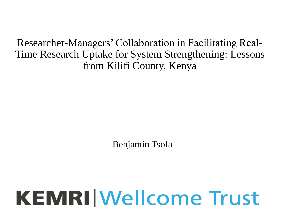Researcher-Managers' Collaboration in Facilitating Real-Time Research Uptake for System Strengthening: Lessons from Kilifi County, Kenya

Benjamin Tsofa

# **KEMRI Wellcome Trust**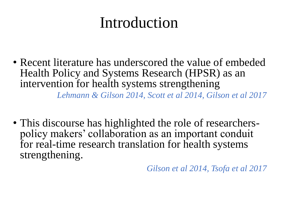#### Introduction

• Recent literature has underscored the value of embeded Health Policy and Systems Research (HPSR) as an intervention for health systems strengthening

*Lehmann & Gilson 2014, Scott et al 2014, Gilson et al 2017*

• This discourse has highlighted the role of researcherspolicy makers' collaboration as an important conduit for real-time research translation for health systems strengthening.

*Gilson et al 2014, Tsofa et al 2017*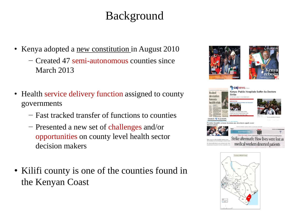#### Background

- Kenya adopted a new constitution in August 2010
	- − Created 47 semi-autonomous counties since March 2013
- Health service delivery function assigned to county governments
	- − Fast tracked transfer of functions to counties
	- − Presented a new set of challenges and/or opportunities on county level health sector decision makers
- Kilifi county is one of the counties found in the Kenyan Coast





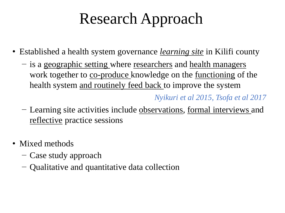## Research Approach

- Established a health system governance *learning site* in Kilifi county
	- − is a geographic setting where researchers and health managers work together to co-produce knowledge on the functioning of the health system and routinely feed back to improve the system

*Nyikuri et al 2015, Tsofa et al 2017*

- − Learning site activities include observations, formal interviews and reflective practice sessions
- Mixed methods
	- − Case study approach
	- − Qualitative and quantitative data collection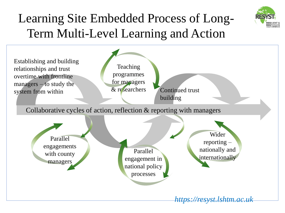

#### Learning Site Embedded Process of Long-Term Multi-Level Learning and Action

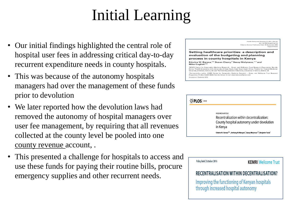## Initial Learning

- Our initial findings highlighted the central role of hospital user fees in addressing critical day-to-day recurrent expenditure needs in county hospitals.
- This was because of the autonomy hospitals managers had over the management of these funds prior to devolution
- We later reported how the devolution laws had removed the autonomy of hospital managers over user fee management, by requiring that all revenues collected at the county level be pooled into one county revenue account, .
- This presented a challenge for hospitals to access and use these funds for paying their routine bills, procure emergency supplies and other recurrent needs.

Health Policy and Planning, 32, 2017, 329-337 doi: 10.1093/heapol/czw132<br>ce Access Publication Date: 26 September 2016 Original Article

Setting healthcare priorities: a description and evaluation of the budgeting and planning process in county hospitals in Kenya

Edwine W. Barasa,<sup>1,2</sup> Susan Cleary,<sup>2</sup> Sassy Molyneux,<sup>1,3</sup> and Mike English<sup>1,4</sup>

KEMRI Centre for Geographic Medicine Research - Coast, and Wellcome Trust Research Programme, Nairobi Kenya, "Health Economics Unit, University of Cape Town, Cape Town South Africa, "Centre for Tropical Medicine, University of Oxford, Oxford, UK and <sup>4</sup>Nuffield Department of Medicine, University of Oxford, Oxford, UK

.<br>Corresponding author. KEMRI Centre for Geographic Medicine Research - Coast, and Wellcome Trust Researcl Programme, P.O Box 43,640-00200, Nairobi, Kenya. E-mail: edwinebarasa@gmail.com Accepted on 1 September 2016

| $\circledcirc$ PLOS $\circledcirc$ |                                                                                                                                                                                                                                                                   |
|------------------------------------|-------------------------------------------------------------------------------------------------------------------------------------------------------------------------------------------------------------------------------------------------------------------|
|                                    | <b>RESEARCH ARTICLE</b><br>Recentralization within decentralization:<br>County hospital autonomy under devolution<br>in Kenya<br>Edwine W. Barasa <sup>1,2+</sup> , Anthony M. Manyara <sup>1</sup> , Sassy Molyneux <sup>1,2</sup> , Benjamin Tsofa <sup>1</sup> |

| Policy brief, October 2016                                                           | <b>KEMRI Wellcome Trust</b>                      |
|--------------------------------------------------------------------------------------|--------------------------------------------------|
|                                                                                      | <b>RECENTRALISATION WITHIN DECENTRALISATION?</b> |
| Improving the functioning of Kenyan hospitals<br>through increased hospital autonomy |                                                  |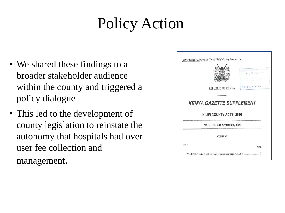## Policy Action

- We shared these findings to a broader stakeholder audience within the county and triggered a policy dialogue
- This led to the development of county legislation to reinstate the autonomy that hospitals had over user fee collection and management.

|                                                             | COUNTY DIRECTOR OF HEALTH<br>KILIFI COUNTY<br>2757122 |
|-------------------------------------------------------------|-------------------------------------------------------|
| REPUBLIC OF KENYA                                           | P.O. Box 9 - 80109, ktt If                            |
| <b>KENYA GAZETTE SUPPLEMENT</b><br>KILIFI COUNTY ACTS, 2016 |                                                       |
| NAIROBI, 19th September, 2016                               |                                                       |
| <b>CONTENT</b>                                              |                                                       |
| $Act-$                                                      | PAGE                                                  |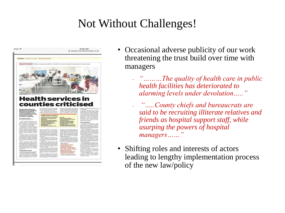#### Not Without Challenges!



- Occasional adverse publicity of our work threatening the trust build over time with managers
	- ₋ *"………The quality of health care in public health facilities has deteriorated to alarming levels under devolution….."*
	- ₋ *"…..County chiefs and bureaucrats are said to be recruiting illiterate relatives and friends as hospital support staff, while usurping the powers of hospital managers……"*
- Shifting roles and interests of actors leading to lengthy implementation process of the new law/policy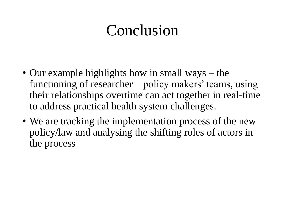#### Conclusion

- Our example highlights how in small ways the functioning of researcher – policy makers' teams, using their relationships overtime can act together in real-time to address practical health system challenges.
- We are tracking the implementation process of the new policy/law and analysing the shifting roles of actors in the process